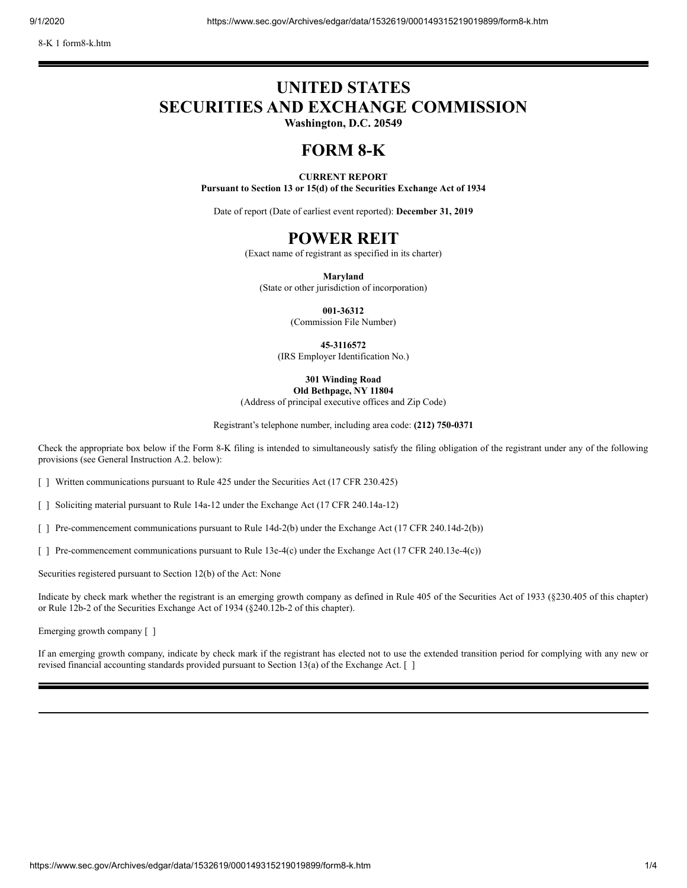# **UNITED STATES SECURITIES AND EXCHANGE COMMISSION**

**Washington, D.C. 20549**

# **FORM 8-K**

#### **CURRENT REPORT**

**Pursuant to Section 13 or 15(d) of the Securities Exchange Act of 1934**

Date of report (Date of earliest event reported): **December 31, 2019**

## **POWER REIT**

(Exact name of registrant as specified in its charter)

**Maryland**

(State or other jurisdiction of incorporation)

**001-36312**

(Commission File Number)

**45-3116572**

(IRS Employer Identification No.)

**301 Winding Road Old Bethpage, NY 11804**

(Address of principal executive offices and Zip Code)

Registrant's telephone number, including area code: **(212) 750-0371**

Check the appropriate box below if the Form 8-K filing is intended to simultaneously satisfy the filing obligation of the registrant under any of the following provisions (see General Instruction A.2. below):

[ ] Written communications pursuant to Rule 425 under the Securities Act (17 CFR 230.425)

[ ] Soliciting material pursuant to Rule 14a-12 under the Exchange Act (17 CFR 240.14a-12)

[ ] Pre-commencement communications pursuant to Rule 14d-2(b) under the Exchange Act (17 CFR 240.14d-2(b))

[ ] Pre-commencement communications pursuant to Rule 13e-4(c) under the Exchange Act (17 CFR 240.13e-4(c))

Securities registered pursuant to Section 12(b) of the Act: None

Indicate by check mark whether the registrant is an emerging growth company as defined in Rule 405 of the Securities Act of 1933 (§230.405 of this chapter) or Rule 12b-2 of the Securities Exchange Act of 1934 (§240.12b-2 of this chapter).

Emerging growth company [ ]

If an emerging growth company, indicate by check mark if the registrant has elected not to use the extended transition period for complying with any new or revised financial accounting standards provided pursuant to Section 13(a) of the Exchange Act. [ ]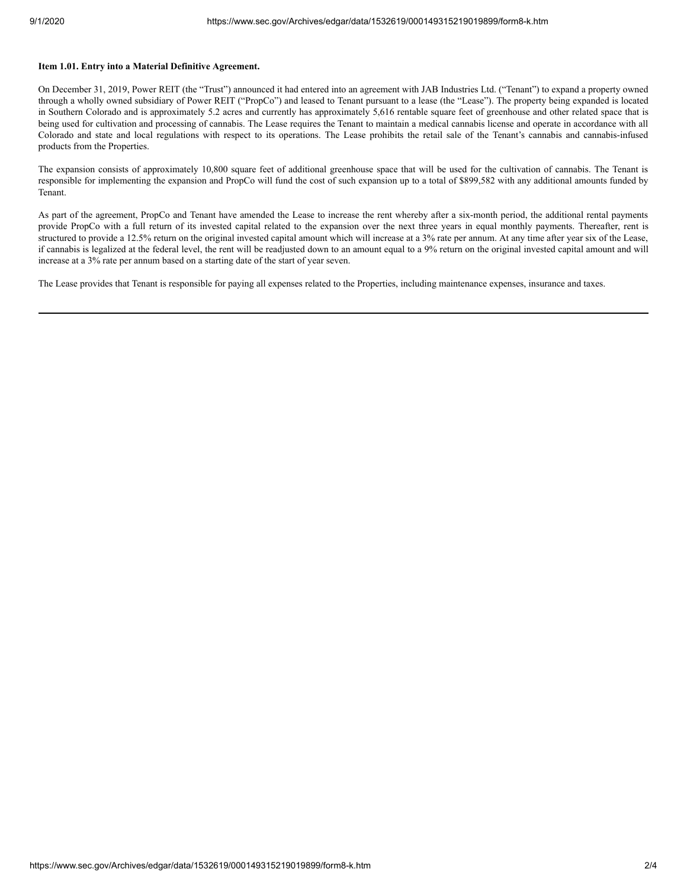#### **Item 1.01. Entry into a Material Definitive Agreement.**

On December 31, 2019, Power REIT (the "Trust") announced it had entered into an agreement with JAB Industries Ltd. ("Tenant") to expand a property owned through a wholly owned subsidiary of Power REIT ("PropCo") and leased to Tenant pursuant to a lease (the "Lease"). The property being expanded is located in Southern Colorado and is approximately 5.2 acres and currently has approximately 5,616 rentable square feet of greenhouse and other related space that is being used for cultivation and processing of cannabis. The Lease requires the Tenant to maintain a medical cannabis license and operate in accordance with all Colorado and state and local regulations with respect to its operations. The Lease prohibits the retail sale of the Tenant's cannabis and cannabis-infused products from the Properties.

The expansion consists of approximately 10,800 square feet of additional greenhouse space that will be used for the cultivation of cannabis. The Tenant is responsible for implementing the expansion and PropCo will fund the cost of such expansion up to a total of \$899,582 with any additional amounts funded by Tenant.

As part of the agreement, PropCo and Tenant have amended the Lease to increase the rent whereby after a six-month period, the additional rental payments provide PropCo with a full return of its invested capital related to the expansion over the next three years in equal monthly payments. Thereafter, rent is structured to provide a 12.5% return on the original invested capital amount which will increase at a 3% rate per annum. At any time after year six of the Lease, if cannabis is legalized at the federal level, the rent will be readjusted down to an amount equal to a 9% return on the original invested capital amount and will increase at a 3% rate per annum based on a starting date of the start of year seven.

The Lease provides that Tenant is responsible for paying all expenses related to the Properties, including maintenance expenses, insurance and taxes.